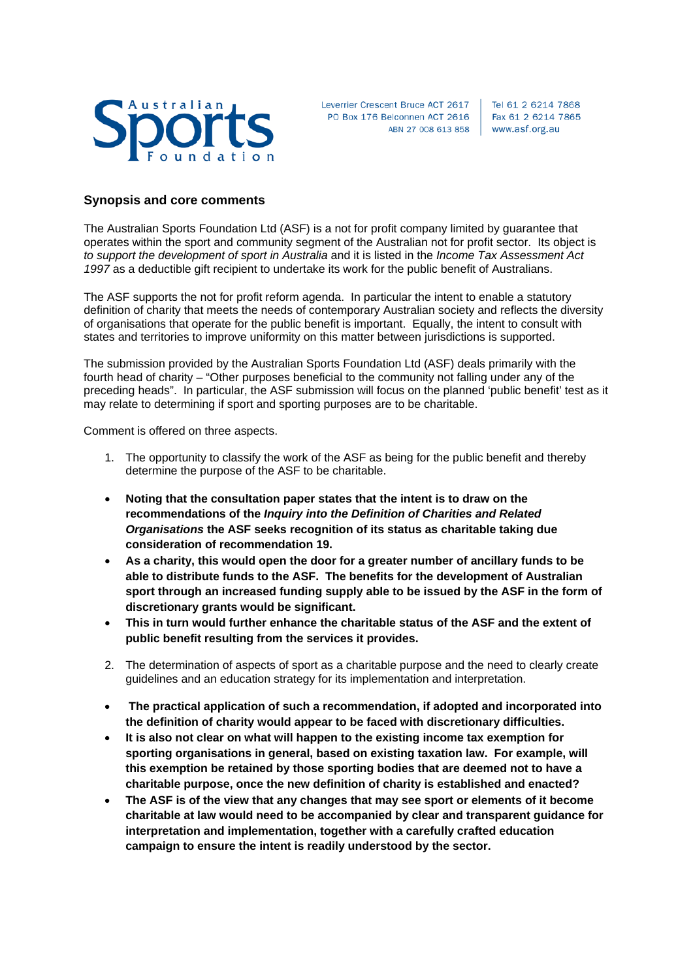

Leverrier Crescent Bruce ACT 2617 PO Box 176 Belconnen ACT 2616 ABN 27 008 613 858 | www.asf.org.au

Tel 61 2 6214 7868 Fax 61 2 6214 7865

## **Synopsis and core comments**

The Australian Sports Foundation Ltd (ASF) is a not for profit company limited by guarantee that operates within the sport and community segment of the Australian not for profit sector. Its object is *to support the development of sport in Australia* and it is listed in the *Income Tax Assessment Act 1997* as a deductible gift recipient to undertake its work for the public benefit of Australians.

The ASF supports the not for profit reform agenda. In particular the intent to enable a statutory definition of charity that meets the needs of contemporary Australian society and reflects the diversity of organisations that operate for the public benefit is important. Equally, the intent to consult with states and territories to improve uniformity on this matter between jurisdictions is supported.

The submission provided by the Australian Sports Foundation Ltd (ASF) deals primarily with the fourth head of charity – "Other purposes beneficial to the community not falling under any of the preceding heads". In particular, the ASF submission will focus on the planned 'public benefit' test as it may relate to determining if sport and sporting purposes are to be charitable.

Comment is offered on three aspects.

- 1. The opportunity to classify the work of the ASF as being for the public benefit and thereby determine the purpose of the ASF to be charitable.
- **Noting that the consultation paper states that the intent is to draw on the recommendations of the** *Inquiry into the Definition of Charities and Related Organisations* **the ASF seeks recognition of its status as charitable taking due consideration of recommendation 19.**
- **As a charity, this would open the door for a greater number of ancillary funds to be able to distribute funds to the ASF. The benefits for the development of Australian sport through an increased funding supply able to be issued by the ASF in the form of discretionary grants would be significant.**
- **This in turn would further enhance the charitable status of the ASF and the extent of public benefit resulting from the services it provides.**
- 2. The determination of aspects of sport as a charitable purpose and the need to clearly create guidelines and an education strategy for its implementation and interpretation.
- **The practical application of such a recommendation, if adopted and incorporated into the definition of charity would appear to be faced with discretionary difficulties.**
- **It is also not clear on what will happen to the existing income tax exemption for sporting organisations in general, based on existing taxation law. For example, will this exemption be retained by those sporting bodies that are deemed not to have a charitable purpose, once the new definition of charity is established and enacted?**
- **The ASF is of the view that any changes that may see sport or elements of it become charitable at law would need to be accompanied by clear and transparent guidance for interpretation and implementation, together with a carefully crafted education campaign to ensure the intent is readily understood by the sector.**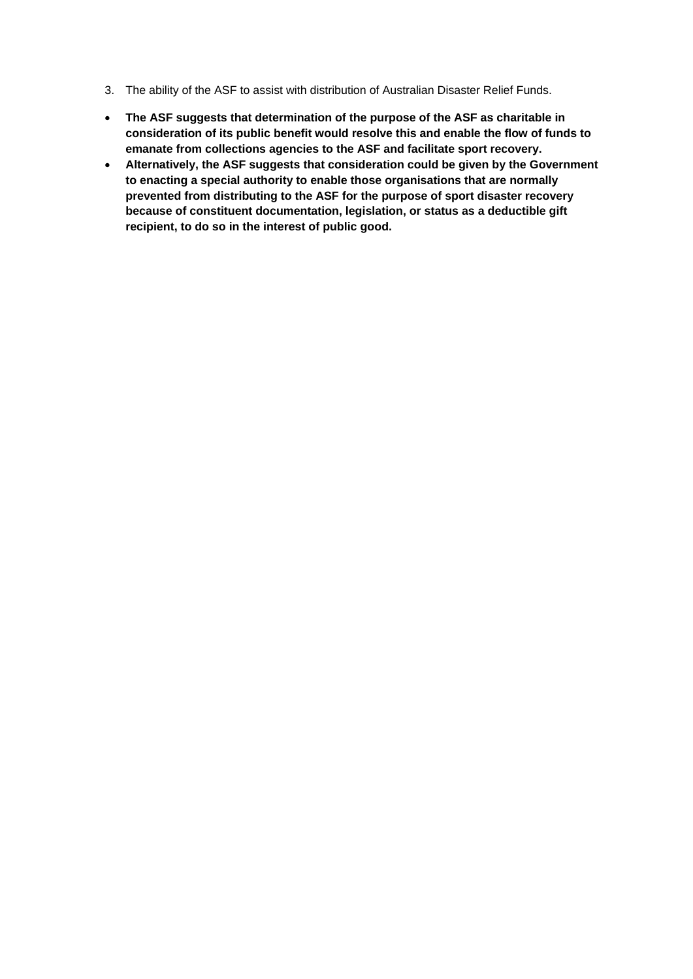- 3. The ability of the ASF to assist with distribution of Australian Disaster Relief Funds.
- **The ASF suggests that determination of the purpose of the ASF as charitable in consideration of its public benefit would resolve this and enable the flow of funds to emanate from collections agencies to the ASF and facilitate sport recovery.**
- **Alternatively, the ASF suggests that consideration could be given by the Government to enacting a special authority to enable those organisations that are normally prevented from distributing to the ASF for the purpose of sport disaster recovery because of constituent documentation, legislation, or status as a deductible gift recipient, to do so in the interest of public good.**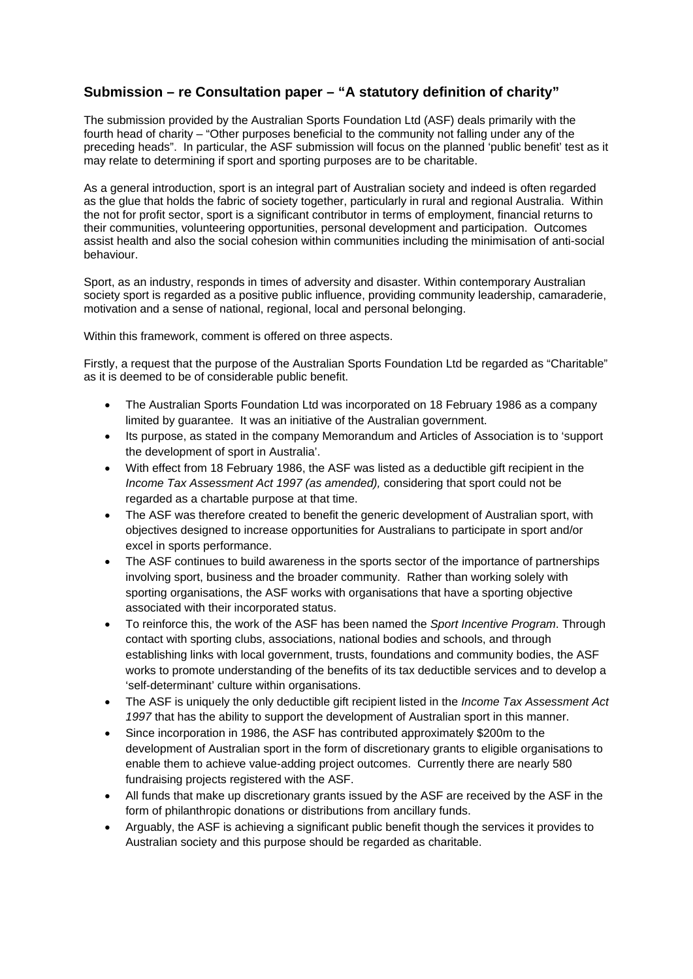## **Submission – re Consultation paper – "A statutory definition of charity"**

The submission provided by the Australian Sports Foundation Ltd (ASF) deals primarily with the fourth head of charity – "Other purposes beneficial to the community not falling under any of the preceding heads". In particular, the ASF submission will focus on the planned 'public benefit' test as it may relate to determining if sport and sporting purposes are to be charitable.

As a general introduction, sport is an integral part of Australian society and indeed is often regarded as the glue that holds the fabric of society together, particularly in rural and regional Australia. Within the not for profit sector, sport is a significant contributor in terms of employment, financial returns to their communities, volunteering opportunities, personal development and participation. Outcomes assist health and also the social cohesion within communities including the minimisation of anti-social behaviour.

Sport, as an industry, responds in times of adversity and disaster. Within contemporary Australian society sport is regarded as a positive public influence, providing community leadership, camaraderie, motivation and a sense of national, regional, local and personal belonging.

Within this framework, comment is offered on three aspects.

Firstly, a request that the purpose of the Australian Sports Foundation Ltd be regarded as "Charitable" as it is deemed to be of considerable public benefit.

- The Australian Sports Foundation Ltd was incorporated on 18 February 1986 as a company limited by guarantee. It was an initiative of the Australian government.
- Its purpose, as stated in the company Memorandum and Articles of Association is to 'support the development of sport in Australia'.
- With effect from 18 February 1986, the ASF was listed as a deductible gift recipient in the *Income Tax Assessment Act 1997 (as amended),* considering that sport could not be regarded as a chartable purpose at that time.
- The ASF was therefore created to benefit the generic development of Australian sport, with objectives designed to increase opportunities for Australians to participate in sport and/or excel in sports performance.
- The ASF continues to build awareness in the sports sector of the importance of partnerships involving sport, business and the broader community. Rather than working solely with sporting organisations, the ASF works with organisations that have a sporting objective associated with their incorporated status.
- To reinforce this, the work of the ASF has been named the *Sport Incentive Program*. Through contact with sporting clubs, associations, national bodies and schools, and through establishing links with local government, trusts, foundations and community bodies, the ASF works to promote understanding of the benefits of its tax deductible services and to develop a 'self-determinant' culture within organisations.
- The ASF is uniquely the only deductible gift recipient listed in the *Income Tax Assessment Act 1997* that has the ability to support the development of Australian sport in this manner.
- Since incorporation in 1986, the ASF has contributed approximately \$200m to the development of Australian sport in the form of discretionary grants to eligible organisations to enable them to achieve value-adding project outcomes. Currently there are nearly 580 fundraising projects registered with the ASF.
- All funds that make up discretionary grants issued by the ASF are received by the ASF in the form of philanthropic donations or distributions from ancillary funds.
- Arguably, the ASF is achieving a significant public benefit though the services it provides to Australian society and this purpose should be regarded as charitable.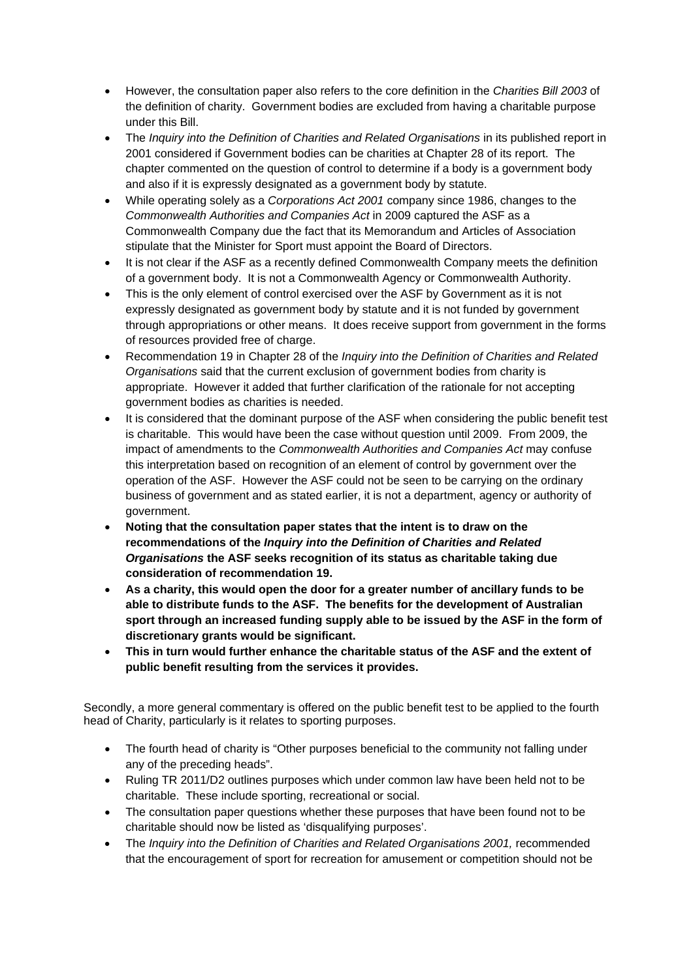- However, the consultation paper also refers to the core definition in the *Charities Bill 2003* of the definition of charity. Government bodies are excluded from having a charitable purpose under this Bill.
- The *Inquiry into the Definition of Charities and Related Organisations* in its published report in 2001 considered if Government bodies can be charities at Chapter 28 of its report. The chapter commented on the question of control to determine if a body is a government body and also if it is expressly designated as a government body by statute.
- While operating solely as a *Corporations Act 2001* company since 1986, changes to the *Commonwealth Authorities and Companies Act* in 2009 captured the ASF as a Commonwealth Company due the fact that its Memorandum and Articles of Association stipulate that the Minister for Sport must appoint the Board of Directors.
- It is not clear if the ASF as a recently defined Commonwealth Company meets the definition of a government body. It is not a Commonwealth Agency or Commonwealth Authority.
- This is the only element of control exercised over the ASF by Government as it is not expressly designated as government body by statute and it is not funded by government through appropriations or other means. It does receive support from government in the forms of resources provided free of charge.
- Recommendation 19 in Chapter 28 of the *Inquiry into the Definition of Charities and Related Organisations* said that the current exclusion of government bodies from charity is appropriate. However it added that further clarification of the rationale for not accepting government bodies as charities is needed.
- It is considered that the dominant purpose of the ASF when considering the public benefit test is charitable. This would have been the case without question until 2009. From 2009, the impact of amendments to the *Commonwealth Authorities and Companies Act* may confuse this interpretation based on recognition of an element of control by government over the operation of the ASF. However the ASF could not be seen to be carrying on the ordinary business of government and as stated earlier, it is not a department, agency or authority of government.
- **Noting that the consultation paper states that the intent is to draw on the recommendations of the** *Inquiry into the Definition of Charities and Related Organisations* **the ASF seeks recognition of its status as charitable taking due consideration of recommendation 19.**
- **As a charity, this would open the door for a greater number of ancillary funds to be able to distribute funds to the ASF. The benefits for the development of Australian sport through an increased funding supply able to be issued by the ASF in the form of discretionary grants would be significant.**
- **This in turn would further enhance the charitable status of the ASF and the extent of public benefit resulting from the services it provides.**

Secondly, a more general commentary is offered on the public benefit test to be applied to the fourth head of Charity, particularly is it relates to sporting purposes.

- The fourth head of charity is "Other purposes beneficial to the community not falling under any of the preceding heads".
- Ruling TR 2011/D2 outlines purposes which under common law have been held not to be charitable. These include sporting, recreational or social.
- The consultation paper questions whether these purposes that have been found not to be charitable should now be listed as 'disqualifying purposes'.
- The *Inquiry into the Definition of Charities and Related Organisations 2001,* recommended that the encouragement of sport for recreation for amusement or competition should not be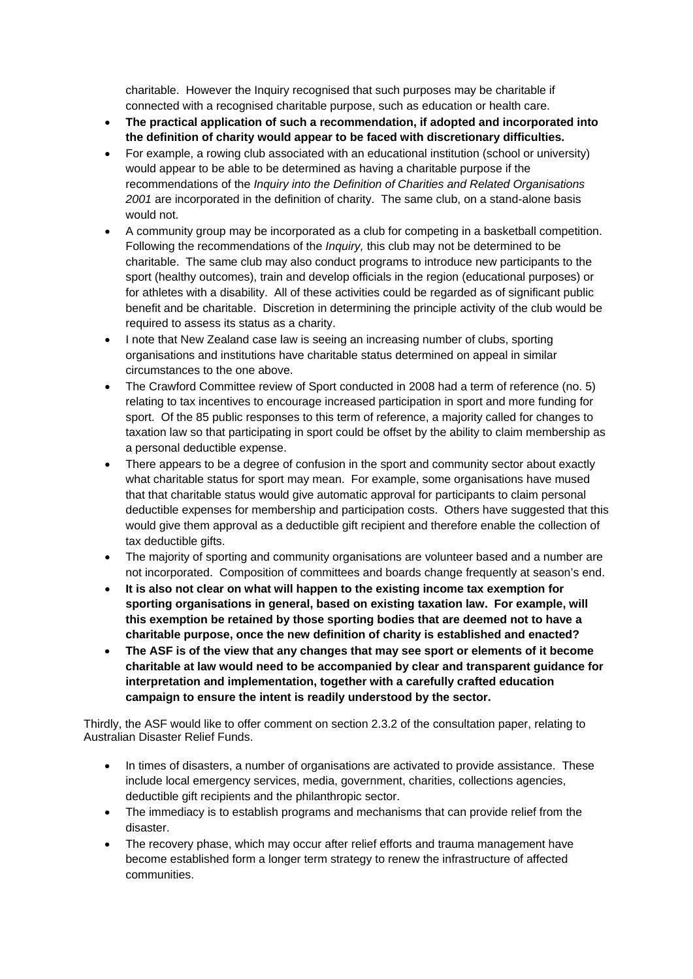charitable. However the Inquiry recognised that such purposes may be charitable if connected with a recognised charitable purpose, such as education or health care.

- **The practical application of such a recommendation, if adopted and incorporated into the definition of charity would appear to be faced with discretionary difficulties.**
- For example, a rowing club associated with an educational institution (school or university) would appear to be able to be determined as having a charitable purpose if the recommendations of the *Inquiry into the Definition of Charities and Related Organisations 2001* are incorporated in the definition of charity. The same club, on a stand-alone basis would not.
- A community group may be incorporated as a club for competing in a basketball competition. Following the recommendations of the *Inquiry,* this club may not be determined to be charitable. The same club may also conduct programs to introduce new participants to the sport (healthy outcomes), train and develop officials in the region (educational purposes) or for athletes with a disability. All of these activities could be regarded as of significant public benefit and be charitable. Discretion in determining the principle activity of the club would be required to assess its status as a charity.
- I note that New Zealand case law is seeing an increasing number of clubs, sporting organisations and institutions have charitable status determined on appeal in similar circumstances to the one above.
- The Crawford Committee review of Sport conducted in 2008 had a term of reference (no. 5) relating to tax incentives to encourage increased participation in sport and more funding for sport. Of the 85 public responses to this term of reference, a majority called for changes to taxation law so that participating in sport could be offset by the ability to claim membership as a personal deductible expense.
- There appears to be a degree of confusion in the sport and community sector about exactly what charitable status for sport may mean. For example, some organisations have mused that that charitable status would give automatic approval for participants to claim personal deductible expenses for membership and participation costs. Others have suggested that this would give them approval as a deductible gift recipient and therefore enable the collection of tax deductible gifts.
- The majority of sporting and community organisations are volunteer based and a number are not incorporated. Composition of committees and boards change frequently at season's end.
- **It is also not clear on what will happen to the existing income tax exemption for sporting organisations in general, based on existing taxation law. For example, will this exemption be retained by those sporting bodies that are deemed not to have a charitable purpose, once the new definition of charity is established and enacted?**
- **The ASF is of the view that any changes that may see sport or elements of it become charitable at law would need to be accompanied by clear and transparent guidance for interpretation and implementation, together with a carefully crafted education campaign to ensure the intent is readily understood by the sector.**

Thirdly, the ASF would like to offer comment on section 2.3.2 of the consultation paper, relating to Australian Disaster Relief Funds.

- In times of disasters, a number of organisations are activated to provide assistance. These include local emergency services, media, government, charities, collections agencies, deductible gift recipients and the philanthropic sector.
- The immediacy is to establish programs and mechanisms that can provide relief from the disaster.
- The recovery phase, which may occur after relief efforts and trauma management have become established form a longer term strategy to renew the infrastructure of affected communities.